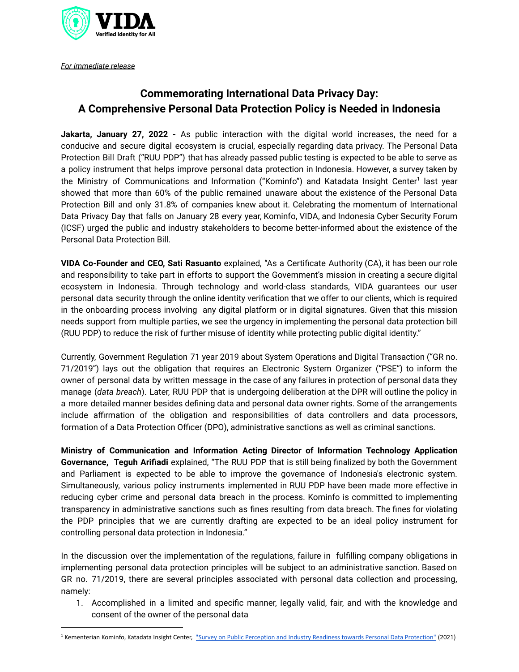

*For immediate release*

## **Commemorating International Data Privacy Day: A Comprehensive Personal Data Protection Policy is Needed in Indonesia**

**Jakarta, January 27, 2022 -** As public interaction with the digital world increases, the need for a conducive and secure digital ecosystem is crucial, especially regarding data privacy. The Personal Data Protection Bill Draft ("RUU PDP") that has already passed public testing is expected to be able to serve as a policy instrument that helps improve personal data protection in Indonesia. However, a survey taken by the Ministry of Communications and Information ("Kominfo") and Katadata Insight Center<sup>1</sup> last year showed that more than 60% of the public remained unaware about the existence of the Personal Data Protection Bill and only 31.8% of companies knew about it. Celebrating the momentum of International Data Privacy Day that falls on January 28 every year, Kominfo, VIDA, and Indonesia Cyber Security Forum (ICSF) urged the public and industry stakeholders to become better-informed about the existence of the Personal Data Protection Bill.

**VIDA Co-Founder and CEO, Sati Rasuanto** explained, "As a Certificate Authority (CA), it has been our role and responsibility to take part in efforts to support the Government's mission in creating a secure digital ecosystem in Indonesia. Through technology and world-class standards, VIDA guarantees our user personal data security through the online identity verification that we offer to our clients, which is required in the onboarding process involving any digital platform or in digital signatures. Given that this mission needs support from multiple parties, we see the urgency in implementing the personal data protection bill (RUU PDP) to reduce the risk of further misuse of identity while protecting public digital identity."

Currently, Government Regulation 71 year 2019 about System Operations and Digital Transaction ("GR no. 71/2019") lays out the obligation that requires an Electronic System Organizer ("PSE") to inform the owner of personal data by written message in the case of any failures in protection of personal data they manage (*data breach*). Later, RUU PDP that is undergoing deliberation at the DPR will outline the policy in a more detailed manner besides defining data and personal data owner rights. Some of the arrangements include affirmation of the obligation and responsibilities of data controllers and data processors, formation of a Data Protection Officer (DPO), administrative sanctions as well as criminal sanctions.

**Ministry of Communication and Information Acting Director of Information Technology Application Governance, Teguh Arifiadi** explained, "The RUU PDP that is still being finalized by both the Government and Parliament is expected to be able to improve the governance of Indonesia's electronic system. Simultaneously, various policy instruments implemented in RUU PDP have been made more effective in reducing cyber crime and personal data breach in the process. Kominfo is committed to implementing transparency in administrative sanctions such as fines resulting from data breach. The fines for violating the PDP principles that we are currently drafting are expected to be an ideal policy instrument for controlling personal data protection in Indonesia."

In the discussion over the implementation of the regulations, failure in fulfilling company obligations in implementing personal data protection principles will be subject to an administrative sanction. Based on GR no. 71/2019, there are several principles associated with personal data collection and processing, namely:

1. Accomplished in a limited and specific manner, legally valid, fair, and with the knowledge and consent of the owner of the personal data

<sup>&</sup>lt;sup>1</sup> Kementerian Kominfo, Katadata Insight Center, "Survey on Public Perception and Industry Readiness towards Personal Data [Protection"](https://katadata.co.id/pelindungan-data-pribadi) (2021)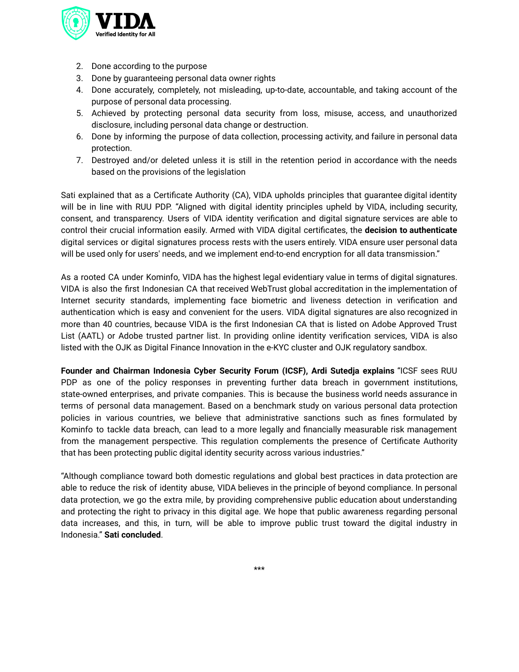

- 2. Done according to the purpose
- 3. Done by guaranteeing personal data owner rights
- 4. Done accurately, completely, not misleading, up-to-date, accountable, and taking account of the purpose of personal data processing.
- 5. Achieved by protecting personal data security from loss, misuse, access, and unauthorized disclosure, including personal data change or destruction.
- 6. Done by informing the purpose of data collection, processing activity, and failure in personal data protection.
- 7. Destroyed and/or deleted unless it is still in the retention period in accordance with the needs based on the provisions of the legislation

Sati explained that as a Certificate Authority (CA), VIDA upholds principles that guarantee digital identity will be in line with RUU PDP. "Aligned with digital identity principles upheld by VIDA, including security, consent, and transparency. Users of VIDA identity verification and digital signature services are able to control their crucial information easily. Armed with VIDA digital certificates, the **decision to authenticate** digital services or digital signatures process rests with the users entirely. VIDA ensure user personal data will be used only for users' needs, and we implement end-to-end encryption for all data transmission."

As a rooted CA under Kominfo, VIDA has the highest legal evidentiary value in terms of digital signatures. VIDA is also the first Indonesian CA that received WebTrust global accreditation in the implementation of Internet security standards, implementing face biometric and liveness detection in verification and authentication which is easy and convenient for the users. VIDA digital signatures are also recognized in more than 40 countries, because VIDA is the first Indonesian CA that is listed on Adobe Approved Trust List (AATL) or Adobe trusted partner list. In providing online identity verification services, VIDA is also listed with the OJK as Digital Finance Innovation in the e-KYC cluster and OJK regulatory sandbox.

**Founder and Chairman Indonesia Cyber Security Forum (ICSF), Ardi Sutedja explains** "ICSF sees RUU PDP as one of the policy responses in preventing further data breach in government institutions, state-owned enterprises, and private companies. This is because the business world needs assurance in terms of personal data management. Based on a benchmark study on various personal data protection policies in various countries, we believe that administrative sanctions such as fines formulated by Kominfo to tackle data breach, can lead to a more legally and financially measurable risk management from the management perspective. This regulation complements the presence of Certificate Authority that has been protecting public digital identity security across various industries."

"Although compliance toward both domestic regulations and global best practices in data protection are able to reduce the risk of identity abuse, VIDA believes in the principle of beyond compliance. In personal data protection, we go the extra mile, by providing comprehensive public education about understanding and protecting the right to privacy in this digital age. We hope that public awareness regarding personal data increases, and this, in turn, will be able to improve public trust toward the digital industry in Indonesia." **Sati concluded**.